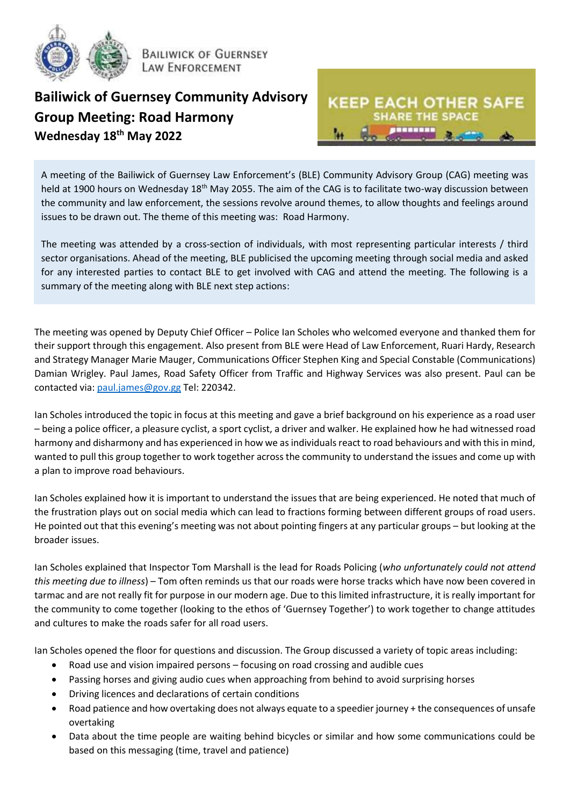

**BAILIWICK OF GUERNSEY LAW ENFORCEMENT** 

## **Bailiwick of Guernsey Community Advisory Group Meeting: Road Harmony Wednesday 18th May 2022**



A meeting of the Bailiwick of Guernsey Law Enforcement's (BLE) Community Advisory Group (CAG) meeting was held at 1900 hours on Wednesday 18<sup>th</sup> May 2055. The aim of the CAG is to facilitate two-way discussion between the community and law enforcement, the sessions revolve around themes, to allow thoughts and feelings around issues to be drawn out. The theme of this meeting was: Road Harmony.

The meeting was attended by a cross-section of individuals, with most representing particular interests / third sector organisations. Ahead of the meeting, BLE publicised the upcoming meeting through social media and asked for any interested parties to contact BLE to get involved with CAG and attend the meeting. The following is a summary of the meeting along with BLE next step actions:

The meeting was opened by Deputy Chief Officer – Police Ian Scholes who welcomed everyone and thanked them for their support through this engagement. Also present from BLE were Head of Law Enforcement, Ruari Hardy, Research and Strategy Manager Marie Mauger, Communications Officer Stephen King and Special Constable (Communications) Damian Wrigley. Paul James, Road Safety Officer from Traffic and Highway Services was also present. Paul can be contacted via: [paul.james@gov.gg](mailto:paul.james@gov.gg) Tel: 220342.

Ian Scholes introduced the topic in focus at this meeting and gave a brief background on his experience as a road user – being a police officer, a pleasure cyclist, a sport cyclist, a driver and walker. He explained how he had witnessed road harmony and disharmony and has experienced in how we as individuals react to road behaviours and with this in mind, wanted to pull this group together to work together across the community to understand the issues and come up with a plan to improve road behaviours.

Ian Scholes explained how it is important to understand the issues that are being experienced. He noted that much of the frustration plays out on social media which can lead to fractions forming between different groups of road users. He pointed out that this evening's meeting was not about pointing fingers at any particular groups – but looking at the broader issues.

Ian Scholes explained that Inspector Tom Marshall is the lead for Roads Policing (*who unfortunately could not attend this meeting due to illness*) – Tom often reminds us that our roads were horse tracks which have now been covered in tarmac and are not really fit for purpose in our modern age. Due to this limited infrastructure, it is really important for the community to come together (looking to the ethos of 'Guernsey Together') to work together to change attitudes and cultures to make the roads safer for all road users.

Ian Scholes opened the floor for questions and discussion. The Group discussed a variety of topic areas including:

- Road use and vision impaired persons focusing on road crossing and audible cues
- Passing horses and giving audio cues when approaching from behind to avoid surprising horses
- Driving licences and declarations of certain conditions
- Road patience and how overtaking does not always equate to a speedier journey + the consequences of unsafe overtaking
- Data about the time people are waiting behind bicycles or similar and how some communications could be based on this messaging (time, travel and patience)